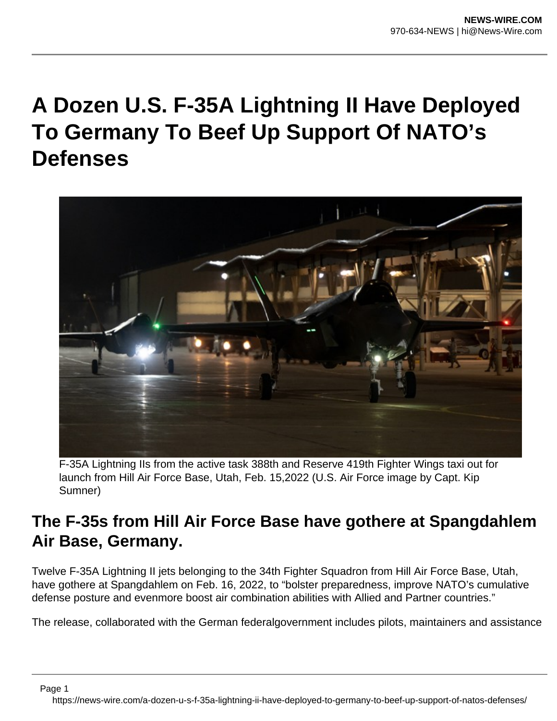## **A Dozen U.S. F-35A Lightning II Have Deployed To Germany To Beef Up Support Of NATO's Defenses**



F-35A Lightning IIs from the active task 388th and Reserve 419th Fighter Wings taxi out for launch from Hill Air Force Base, Utah, Feb. 15,2022 (U.S. Air Force image by Capt. Kip Sumner)

## **The F-35s from Hill Air Force Base have gothere at Spangdahlem Air Base, Germany.**

Twelve F-35A Lightning II jets belonging to the 34th Fighter Squadron from Hill Air Force Base, Utah, have gothere at Spangdahlem on Feb. 16, 2022, to "bolster preparedness, improve NATO's cumulative defense posture and evenmore boost air combination abilities with Allied and Partner countries."

The release, collaborated with the German federalgovernment includes pilots, maintainers and assistance

Page 1

https://news-wire.com/a-dozen-u-s-f-35a-lightning-ii-have-deployed-to-germany-to-beef-up-support-of-natos-defenses/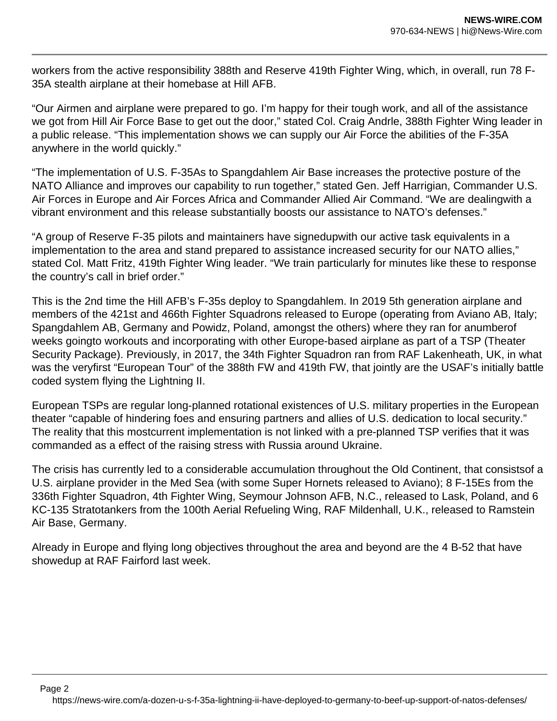workers from the active responsibility 388th and Reserve 419th Fighter Wing, which, in overall, run 78 F-35A stealth airplane at their homebase at Hill AFB.

"Our Airmen and airplane were prepared to go. I'm happy for their tough work, and all of the assistance we got from Hill Air Force Base to get out the door," stated Col. Craig Andrle, 388th Fighter Wing leader in a public release. "This implementation shows we can supply our Air Force the abilities of the F-35A anywhere in the world quickly."

"The implementation of U.S. F-35As to Spangdahlem Air Base increases the protective posture of the NATO Alliance and improves our capability to run together," stated Gen. Jeff Harrigian, Commander U.S. Air Forces in Europe and Air Forces Africa and Commander Allied Air Command. "We are dealingwith a vibrant environment and this release substantially boosts our assistance to NATO's defenses."

"A group of Reserve F-35 pilots and maintainers have signedupwith our active task equivalents in a implementation to the area and stand prepared to assistance increased security for our NATO allies," stated Col. Matt Fritz, 419th Fighter Wing leader. "We train particularly for minutes like these to response the country's call in brief order."

This is the 2nd time the Hill AFB's F-35s deploy to Spangdahlem. In 2019 5th generation airplane and members of the 421st and 466th Fighter Squadrons released to Europe (operating from Aviano AB, Italy; Spangdahlem AB, Germany and Powidz, Poland, amongst the others) where they ran for anumberof weeks goingto workouts and incorporating with other Europe-based airplane as part of a TSP (Theater Security Package). Previously, in 2017, the 34th Fighter Squadron ran from RAF Lakenheath, UK, in what was the veryfirst "European Tour" of the 388th FW and 419th FW, that jointly are the USAF's initially battle coded system flying the Lightning II.

European TSPs are regular long-planned rotational existences of U.S. military properties in the European theater "capable of hindering foes and ensuring partners and allies of U.S. dedication to local security." The reality that this mostcurrent implementation is not linked with a pre-planned TSP verifies that it was commanded as a effect of the raising stress with Russia around Ukraine.

The crisis has currently led to a considerable accumulation throughout the Old Continent, that consistsof a U.S. airplane provider in the Med Sea (with some Super Hornets released to Aviano); 8 F-15Es from the 336th Fighter Squadron, 4th Fighter Wing, Seymour Johnson AFB, N.C., released to Lask, Poland, and 6 KC-135 Stratotankers from the 100th Aerial Refueling Wing, RAF Mildenhall, U.K., released to Ramstein Air Base, Germany.

Already in Europe and flying long objectives throughout the area and beyond are the 4 B-52 that have showedup at RAF Fairford last week.

https://news-wire.com/a-dozen-u-s-f-35a-lightning-ii-have-deployed-to-germany-to-beef-up-support-of-natos-defenses/

Page 2